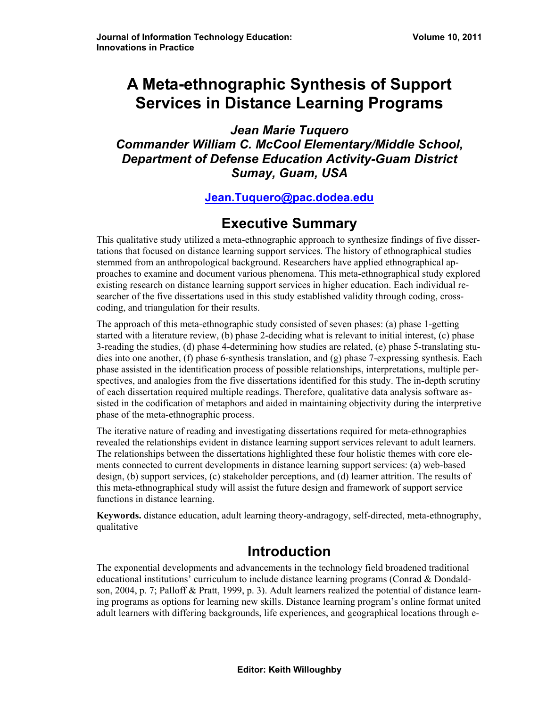# **A Meta-ethnographic Synthesis of Support Services in Distance Learning Programs**

*Jean Marie Tuquero Commander William C. McCool Elementary/Middle School, Department of Defense Education Activity-Guam District Sumay, Guam, USA* 

#### **[Jean.Tuquero@pac.dodea.edu](mailto:Jean.Tuquero@pac.dodea.edu)**

# **Executive Summary**

This qualitative study utilized a meta-ethnographic approach to synthesize findings of five dissertations that focused on distance learning support services. The history of ethnographical studies stemmed from an anthropological background. Researchers have applied ethnographical approaches to examine and document various phenomena. This meta-ethnographical study explored existing research on distance learning support services in higher education. Each individual researcher of the five dissertations used in this study established validity through coding, crosscoding, and triangulation for their results.

The approach of this meta-ethnographic study consisted of seven phases: (a) phase 1-getting started with a literature review, (b) phase 2-deciding what is relevant to initial interest, (c) phase 3-reading the studies, (d) phase 4-determining how studies are related, (e) phase 5-translating studies into one another, (f) phase 6-synthesis translation, and (g) phase 7-expressing synthesis. Each phase assisted in the identification process of possible relationships, interpretations, multiple perspectives, and analogies from the five dissertations identified for this study. The in-depth scrutiny of each dissertation required multiple readings. Therefore, qualitative data analysis software assisted in the codification of metaphors and aided in maintaining objectivity during the interpretive phase of the meta-ethnographic process.

The iterative nature of reading and investigating dissertations required for meta-ethnographies revealed the relationships evident in distance learning support services relevant to adult learners. The relationships between the dissertations highlighted these four holistic themes with core elements connected to current developments in distance learning support services: (a) web-based design, (b) support services, (c) stakeholder perceptions, and (d) learner attrition. The results of this meta-ethnographical study will assist the future design and framework of support service functions in distance learning.

**Keywords.** distance education, adult learning theory-andragogy, self-directed, meta-ethnography, qualitative

# **Introduction**

The exponential developments and advancements in the technology field broadened traditional educational institutions' curriculum to include distance learning programs (Conrad & Dondaldson, 2004, p. 7; Palloff & Pratt, 1999, p. 3). Adult learners realized the potential of distance learning programs as options for learning new skills. Distance learning program's online format united adult learners with differing backgrounds, life experiences, and geographical locations through e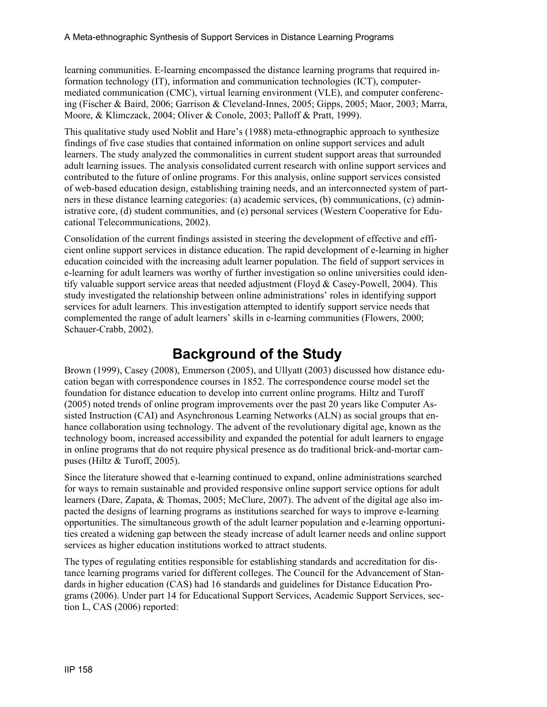learning communities. E-learning encompassed the distance learning programs that required information technology (IT), information and communication technologies (ICT), computermediated communication (CMC), virtual learning environment (VLE), and computer conferencing (Fischer & Baird, 2006; Garrison & Cleveland-Innes, 2005; Gipps, 2005; Maor, 2003; Marra, Moore, & Klimczack, 2004; Oliver & Conole, 2003; Palloff & Pratt, 1999).

This qualitative study used Noblit and Hare's (1988) meta-ethnographic approach to synthesize findings of five case studies that contained information on online support services and adult learners. The study analyzed the commonalities in current student support areas that surrounded adult learning issues. The analysis consolidated current research with online support services and contributed to the future of online programs. For this analysis, online support services consisted of web-based education design, establishing training needs, and an interconnected system of partners in these distance learning categories: (a) academic services, (b) communications, (c) administrative core, (d) student communities, and (e) personal services (Western Cooperative for Educational Telecommunications, 2002).

Consolidation of the current findings assisted in steering the development of effective and efficient online support services in distance education. The rapid development of e-learning in higher education coincided with the increasing adult learner population. The field of support services in e-learning for adult learners was worthy of further investigation so online universities could identify valuable support service areas that needed adjustment (Floyd & Casey-Powell, 2004). This study investigated the relationship between online administrations' roles in identifying support services for adult learners. This investigation attempted to identify support service needs that complemented the range of adult learners' skills in e-learning communities (Flowers, 2000; Schauer-Crabb, 2002).

### **Background of the Study**

Brown (1999), Casey (2008), Emmerson (2005), and Ullyatt (2003) discussed how distance education began with correspondence courses in 1852. The correspondence course model set the foundation for distance education to develop into current online programs. Hiltz and Turoff (2005) noted trends of online program improvements over the past 20 years like Computer Assisted Instruction (CAI) and Asynchronous Learning Networks (ALN) as social groups that enhance collaboration using technology. The advent of the revolutionary digital age, known as the technology boom, increased accessibility and expanded the potential for adult learners to engage in online programs that do not require physical presence as do traditional brick-and-mortar campuses (Hiltz & Turoff, 2005).

Since the literature showed that e-learning continued to expand, online administrations searched for ways to remain sustainable and provided responsive online support service options for adult learners (Dare, Zapata, & Thomas, 2005; McClure, 2007). The advent of the digital age also impacted the designs of learning programs as institutions searched for ways to improve e-learning opportunities. The simultaneous growth of the adult learner population and e-learning opportunities created a widening gap between the steady increase of adult learner needs and online support services as higher education institutions worked to attract students.

The types of regulating entities responsible for establishing standards and accreditation for distance learning programs varied for different colleges. The Council for the Advancement of Standards in higher education (CAS) had 16 standards and guidelines for Distance Education Programs (2006). Under part 14 for Educational Support Services, Academic Support Services, section L, CAS (2006) reported: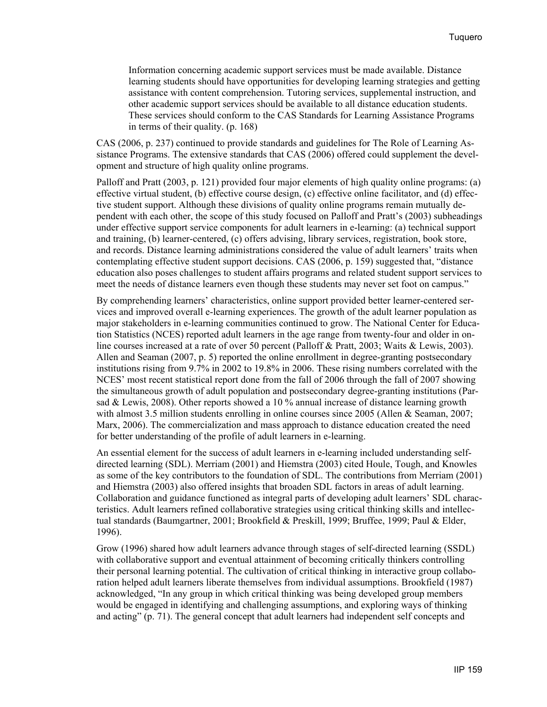Information concerning academic support services must be made available. Distance learning students should have opportunities for developing learning strategies and getting assistance with content comprehension. Tutoring services, supplemental instruction, and other academic support services should be available to all distance education students. These services should conform to the CAS Standards for Learning Assistance Programs in terms of their quality. (p. 168)

CAS (2006, p. 237) continued to provide standards and guidelines for The Role of Learning Assistance Programs. The extensive standards that CAS (2006) offered could supplement the development and structure of high quality online programs.

Palloff and Pratt (2003, p. 121) provided four major elements of high quality online programs: (a) effective virtual student, (b) effective course design, (c) effective online facilitator, and (d) effective student support. Although these divisions of quality online programs remain mutually dependent with each other, the scope of this study focused on Palloff and Pratt's (2003) subheadings under effective support service components for adult learners in e-learning: (a) technical support and training, (b) learner-centered, (c) offers advising, library services, registration, book store, and records. Distance learning administrations considered the value of adult learners' traits when contemplating effective student support decisions. CAS (2006, p. 159) suggested that, "distance education also poses challenges to student affairs programs and related student support services to meet the needs of distance learners even though these students may never set foot on campus."

By comprehending learners' characteristics, online support provided better learner-centered services and improved overall e-learning experiences. The growth of the adult learner population as major stakeholders in e-learning communities continued to grow. The National Center for Education Statistics (NCES) reported adult learners in the age range from twenty-four and older in online courses increased at a rate of over 50 percent (Palloff & Pratt, 2003; Waits & Lewis, 2003). Allen and Seaman (2007, p. 5) reported the online enrollment in degree-granting postsecondary institutions rising from 9.7% in 2002 to 19.8% in 2006. These rising numbers correlated with the NCES' most recent statistical report done from the fall of 2006 through the fall of 2007 showing the simultaneous growth of adult population and postsecondary degree-granting institutions (Parsad & Lewis, 2008). Other reports showed a 10 % annual increase of distance learning growth with almost 3.5 million students enrolling in online courses since 2005 (Allen & Seaman, 2007; Marx, 2006). The commercialization and mass approach to distance education created the need for better understanding of the profile of adult learners in e-learning.

An essential element for the success of adult learners in e-learning included understanding selfdirected learning (SDL). Merriam (2001) and Hiemstra (2003) cited Houle, Tough, and Knowles as some of the key contributors to the foundation of SDL. The contributions from Merriam (2001) and Hiemstra (2003) also offered insights that broaden SDL factors in areas of adult learning. Collaboration and guidance functioned as integral parts of developing adult learners' SDL characteristics. Adult learners refined collaborative strategies using critical thinking skills and intellectual standards (Baumgartner, 2001; Brookfield & Preskill, 1999; Bruffee, 1999; Paul & Elder, 1996).

Grow (1996) shared how adult learners advance through stages of self-directed learning (SSDL) with collaborative support and eventual attainment of becoming critically thinkers controlling their personal learning potential. The cultivation of critical thinking in interactive group collaboration helped adult learners liberate themselves from individual assumptions. Brookfield (1987) acknowledged, "In any group in which critical thinking was being developed group members would be engaged in identifying and challenging assumptions, and exploring ways of thinking and acting" (p. 71). The general concept that adult learners had independent self concepts and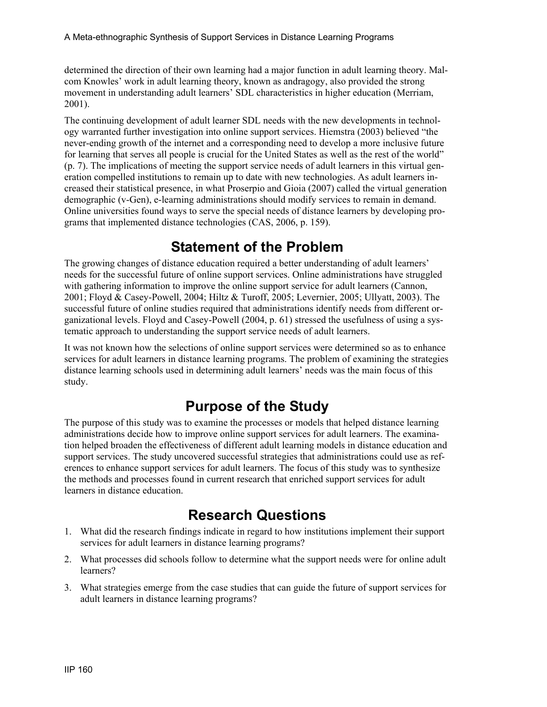determined the direction of their own learning had a major function in adult learning theory. Malcom Knowles' work in adult learning theory, known as andragogy, also provided the strong movement in understanding adult learners' SDL characteristics in higher education (Merriam, 2001).

The continuing development of adult learner SDL needs with the new developments in technology warranted further investigation into online support services. Hiemstra (2003) believed "the never-ending growth of the internet and a corresponding need to develop a more inclusive future for learning that serves all people is crucial for the United States as well as the rest of the world" (p. 7). The implications of meeting the support service needs of adult learners in this virtual generation compelled institutions to remain up to date with new technologies. As adult learners increased their statistical presence, in what Proserpio and Gioia (2007) called the virtual generation demographic (v-Gen), e-learning administrations should modify services to remain in demand. Online universities found ways to serve the special needs of distance learners by developing programs that implemented distance technologies (CAS, 2006, p. 159).

## **Statement of the Problem**

The growing changes of distance education required a better understanding of adult learners' needs for the successful future of online support services. Online administrations have struggled with gathering information to improve the online support service for adult learners (Cannon, 2001; Floyd & Casey-Powell, 2004; Hiltz & Turoff, 2005; Levernier, 2005; Ullyatt, 2003). The successful future of online studies required that administrations identify needs from different organizational levels. Floyd and Casey-Powell (2004, p. 61) stressed the usefulness of using a systematic approach to understanding the support service needs of adult learners.

It was not known how the selections of online support services were determined so as to enhance services for adult learners in distance learning programs. The problem of examining the strategies distance learning schools used in determining adult learners' needs was the main focus of this study.

## **Purpose of the Study**

The purpose of this study was to examine the processes or models that helped distance learning administrations decide how to improve online support services for adult learners. The examination helped broaden the effectiveness of different adult learning models in distance education and support services. The study uncovered successful strategies that administrations could use as references to enhance support services for adult learners. The focus of this study was to synthesize the methods and processes found in current research that enriched support services for adult learners in distance education.

## **Research Questions**

- 1. What did the research findings indicate in regard to how institutions implement their support services for adult learners in distance learning programs?
- 2. What processes did schools follow to determine what the support needs were for online adult learners?
- 3. What strategies emerge from the case studies that can guide the future of support services for adult learners in distance learning programs?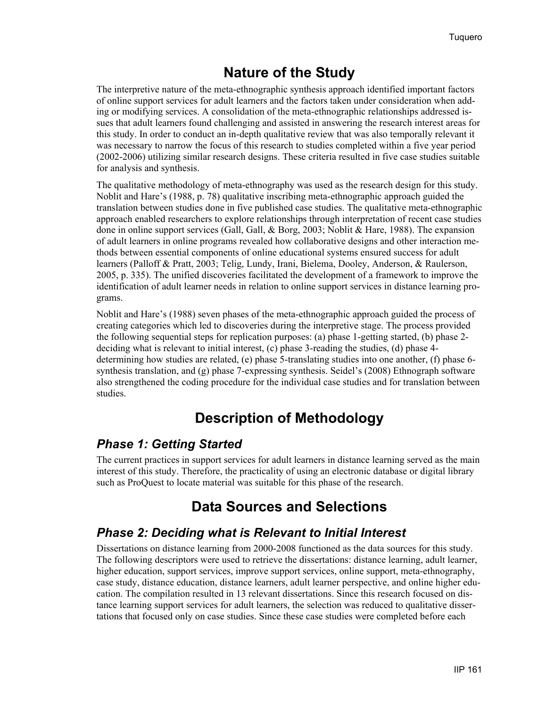### **Nature of the Study**

The interpretive nature of the meta-ethnographic synthesis approach identified important factors of online support services for adult learners and the factors taken under consideration when adding or modifying services. A consolidation of the meta-ethnographic relationships addressed issues that adult learners found challenging and assisted in answering the research interest areas for this study. In order to conduct an in-depth qualitative review that was also temporally relevant it was necessary to narrow the focus of this research to studies completed within a five year period (2002-2006) utilizing similar research designs. These criteria resulted in five case studies suitable for analysis and synthesis.

The qualitative methodology of meta-ethnography was used as the research design for this study. Noblit and Hare's (1988, p. 78) qualitative inscribing meta-ethnographic approach guided the translation between studies done in five published case studies. The qualitative meta-ethnographic approach enabled researchers to explore relationships through interpretation of recent case studies done in online support services (Gall, Gall, & Borg, 2003; Noblit & Hare, 1988). The expansion of adult learners in online programs revealed how collaborative designs and other interaction methods between essential components of online educational systems ensured success for adult learners (Palloff & Pratt, 2003; Telig, Lundy, Irani, Bielema, Dooley, Anderson, & Raulerson, 2005, p. 335). The unified discoveries facilitated the development of a framework to improve the identification of adult learner needs in relation to online support services in distance learning programs.

Noblit and Hare's (1988) seven phases of the meta-ethnographic approach guided the process of creating categories which led to discoveries during the interpretive stage. The process provided the following sequential steps for replication purposes: (a) phase 1-getting started, (b) phase 2 deciding what is relevant to initial interest, (c) phase 3-reading the studies, (d) phase 4 determining how studies are related, (e) phase 5-translating studies into one another, (f) phase 6 synthesis translation, and (g) phase 7-expressing synthesis. Seidel's (2008) Ethnograph software also strengthened the coding procedure for the individual case studies and for translation between studies.

# **Description of Methodology**

#### *Phase 1: Getting Started*

The current practices in support services for adult learners in distance learning served as the main interest of this study. Therefore, the practicality of using an electronic database or digital library such as ProQuest to locate material was suitable for this phase of the research.

# **Data Sources and Selections**

#### *Phase 2: Deciding what is Relevant to Initial Interest*

Dissertations on distance learning from 2000-2008 functioned as the data sources for this study. The following descriptors were used to retrieve the dissertations: distance learning, adult learner, higher education, support services, improve support services, online support, meta-ethnography, case study, distance education, distance learners, adult learner perspective, and online higher education. The compilation resulted in 13 relevant dissertations. Since this research focused on distance learning support services for adult learners, the selection was reduced to qualitative dissertations that focused only on case studies. Since these case studies were completed before each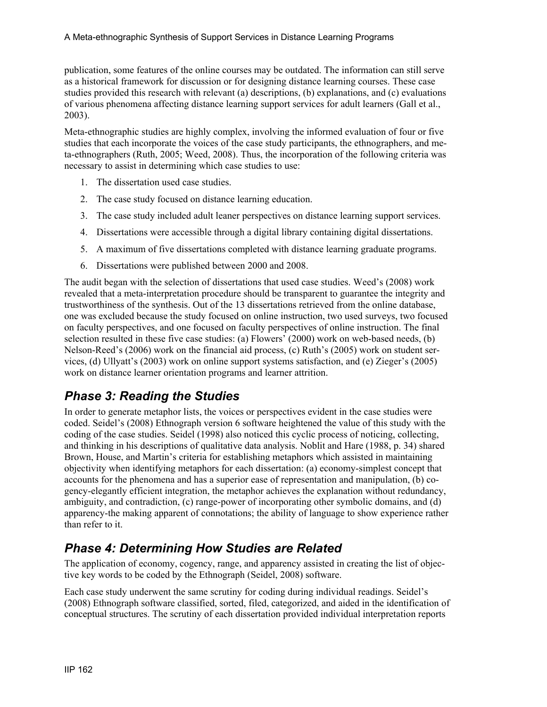publication, some features of the online courses may be outdated. The information can still serve as a historical framework for discussion or for designing distance learning courses. These case studies provided this research with relevant (a) descriptions, (b) explanations, and (c) evaluations of various phenomena affecting distance learning support services for adult learners (Gall et al., 2003).

Meta-ethnographic studies are highly complex, involving the informed evaluation of four or five studies that each incorporate the voices of the case study participants, the ethnographers, and meta-ethnographers (Ruth, 2005; Weed, 2008). Thus, the incorporation of the following criteria was necessary to assist in determining which case studies to use:

- 1. The dissertation used case studies.
- 2. The case study focused on distance learning education.
- 3. The case study included adult leaner perspectives on distance learning support services.
- 4. Dissertations were accessible through a digital library containing digital dissertations.
- 5. A maximum of five dissertations completed with distance learning graduate programs.
- 6. Dissertations were published between 2000 and 2008.

The audit began with the selection of dissertations that used case studies. Weed's (2008) work revealed that a meta-interpretation procedure should be transparent to guarantee the integrity and trustworthiness of the synthesis. Out of the 13 dissertations retrieved from the online database, one was excluded because the study focused on online instruction, two used surveys, two focused on faculty perspectives, and one focused on faculty perspectives of online instruction. The final selection resulted in these five case studies: (a) Flowers' (2000) work on web-based needs, (b) Nelson-Reed's (2006) work on the financial aid process, (c) Ruth's (2005) work on student services, (d) Ullyatt's (2003) work on online support systems satisfaction, and (e) Zieger's (2005) work on distance learner orientation programs and learner attrition.

#### *Phase 3: Reading the Studies*

In order to generate metaphor lists, the voices or perspectives evident in the case studies were coded. Seidel's (2008) Ethnograph version 6 software heightened the value of this study with the coding of the case studies. Seidel (1998) also noticed this cyclic process of noticing, collecting, and thinking in his descriptions of qualitative data analysis. Noblit and Hare (1988, p. 34) shared Brown, House, and Martin's criteria for establishing metaphors which assisted in maintaining objectivity when identifying metaphors for each dissertation: (a) economy-simplest concept that accounts for the phenomena and has a superior ease of representation and manipulation, (b) cogency-elegantly efficient integration, the metaphor achieves the explanation without redundancy, ambiguity, and contradiction, (c) range-power of incorporating other symbolic domains, and (d) apparency-the making apparent of connotations; the ability of language to show experience rather than refer to it.

#### *Phase 4: Determining How Studies are Related*

The application of economy, cogency, range, and apparency assisted in creating the list of objective key words to be coded by the Ethnograph (Seidel, 2008) software.

Each case study underwent the same scrutiny for coding during individual readings. Seidel's (2008) Ethnograph software classified, sorted, filed, categorized, and aided in the identification of conceptual structures. The scrutiny of each dissertation provided individual interpretation reports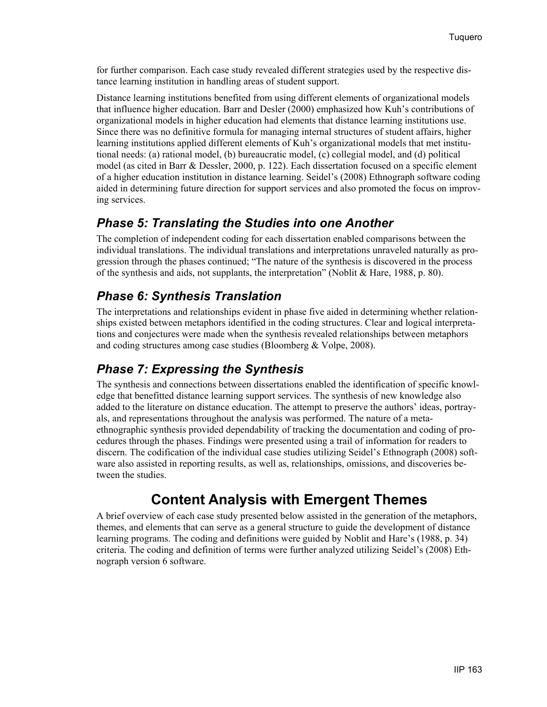for further comparison. Each case study revealed different strategies used by the respective distance learning institution in handling areas of student support.

Distance learning institutions benefited from using different elements of organizational models that influence higher education. Barr and Desler (2000) emphasized how Kuh's contributions of organizational models in higher education had elements that distance learning institutions use. Since there was no definitive formula for managing internal structures of student affairs, higher learning institutions applied different elements of Kuh's organizational models that met institutional needs: (a) rational model, (b) bureaucratic model, (c) collegial model, and (d) political model (as cited in Barr & Dessler, 2000, p. 122). Each dissertation focused on a specific element of a higher education institution in distance learning. Seidel's (2008) Ethnograph software coding aided in determining future direction for support services and also promoted the focus on improving services.

#### *Phase 5: Translating the Studies into one Another*

The completion of independent coding for each dissertation enabled comparisons between the individual translations. The individual translations and interpretations unraveled naturally as progression through the phases continued; "The nature of the synthesis is discovered in the process of the synthesis and aids, not supplants, the interpretation" (Noblit & Hare, 1988, p. 80).

#### *Phase 6: Synthesis Translation*

The interpretations and relationships evident in phase five aided in determining whether relationships existed between metaphors identified in the coding structures. Clear and logical interpretations and conjectures were made when the synthesis revealed relationships between metaphors and coding structures among case studies (Bloomberg & Volpe, 2008).

#### *Phase 7: Expressing the Synthesis*

The synthesis and connections between dissertations enabled the identification of specific knowledge that benefitted distance learning support services. The synthesis of new knowledge also added to the literature on distance education. The attempt to preserve the authors' ideas, portrayals, and representations throughout the analysis was performed. The nature of a metaethnographic synthesis provided dependability of tracking the documentation and coding of procedures through the phases. Findings were presented using a trail of information for readers to discern. The codification of the individual case studies utilizing Seidel's Ethnograph (2008) software also assisted in reporting results, as well as, relationships, omissions, and discoveries between the studies.

# **Content Analysis with Emergent Themes**

A brief overview of each case study presented below assisted in the generation of the metaphors, themes, and elements that can serve as a general structure to guide the development of distance learning programs. The coding and definitions were guided by Noblit and Hare's (1988, p. 34) criteria. The coding and definition of terms were further analyzed utilizing Seidel's (2008) Ethnograph version 6 software.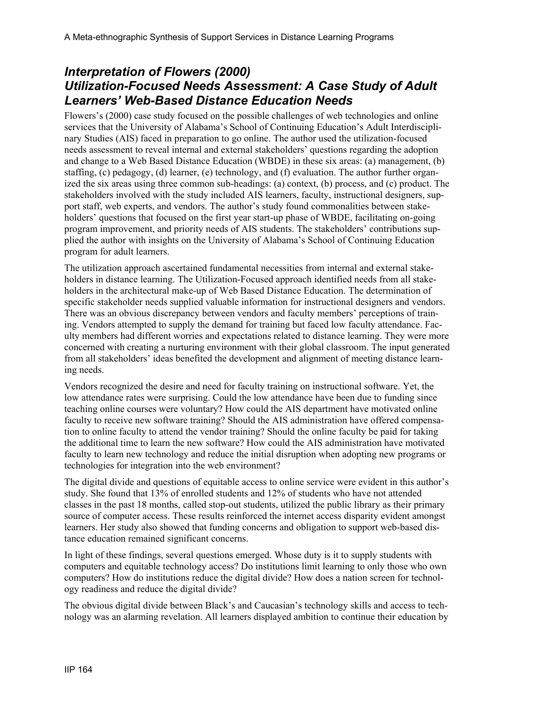#### *Interpretation of Flowers (2000) Utilization-Focused Needs Assessment: A Case Study of Adult Learners' Web-Based Distance Education Needs*

Flowers's (2000) case study focused on the possible challenges of web technologies and online services that the University of Alabama's School of Continuing Education's Adult Interdisciplinary Studies (AIS) faced in preparation to go online. The author used the utilization-focused needs assessment to reveal internal and external stakeholders' questions regarding the adoption and change to a Web Based Distance Education (WBDE) in these six areas: (a) management, (b) staffing, (c) pedagogy, (d) learner, (e) technology, and (f) evaluation. The author further organized the six areas using three common sub-headings: (a) context, (b) process, and (c) product. The stakeholders involved with the study included AIS learners, faculty, instructional designers, support staff, web experts, and vendors. The author's study found commonalities between stakeholders' questions that focused on the first year start-up phase of WBDE, facilitating on-going program improvement, and priority needs of AIS students. The stakeholders' contributions supplied the author with insights on the University of Alabama's School of Continuing Education program for adult learners.

The utilization approach ascertained fundamental necessities from internal and external stakeholders in distance learning. The Utilization-Focused approach identified needs from all stakeholders in the architectural make-up of Web Based Distance Education. The determination of specific stakeholder needs supplied valuable information for instructional designers and vendors. There was an obvious discrepancy between vendors and faculty members' perceptions of training. Vendors attempted to supply the demand for training but faced low faculty attendance. Faculty members had different worries and expectations related to distance learning. They were more concerned with creating a nurturing environment with their global classroom. The input generated from all stakeholders' ideas benefited the development and alignment of meeting distance learning needs.

Vendors recognized the desire and need for faculty training on instructional software. Yet, the low attendance rates were surprising. Could the low attendance have been due to funding since teaching online courses were voluntary? How could the AIS department have motivated online faculty to receive new software training? Should the AIS administration have offered compensation to online faculty to attend the vendor training? Should the online faculty be paid for taking the additional time to learn the new software? How could the AIS administration have motivated faculty to learn new technology and reduce the initial disruption when adopting new programs or technologies for integration into the web environment?

The digital divide and questions of equitable access to online service were evident in this author's study. She found that 13% of enrolled students and 12% of students who have not attended classes in the past 18 months, called stop-out students, utilized the public library as their primary source of computer access. These results reinforced the internet access disparity evident amongst learners. Her study also showed that funding concerns and obligation to support web-based distance education remained significant concerns.

In light of these findings, several questions emerged. Whose duty is it to supply students with computers and equitable technology access? Do institutions limit learning to only those who own computers? How do institutions reduce the digital divide? How does a nation screen for technology readiness and reduce the digital divide?

The obvious digital divide between Black's and Caucasian's technology skills and access to technology was an alarming revelation. All learners displayed ambition to continue their education by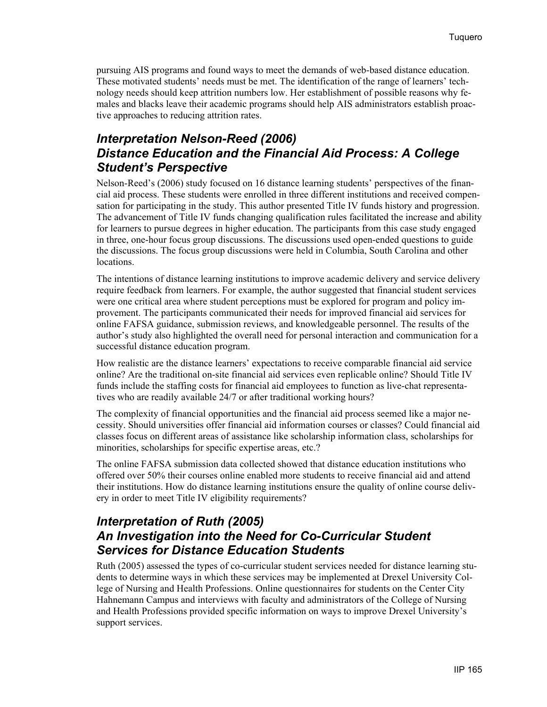pursuing AIS programs and found ways to meet the demands of web-based distance education. These motivated students' needs must be met. The identification of the range of learners' technology needs should keep attrition numbers low. Her establishment of possible reasons why females and blacks leave their academic programs should help AIS administrators establish proactive approaches to reducing attrition rates.

#### *Interpretation Nelson-Reed (2006) Distance Education and the Financial Aid Process: A College Student's Perspective*

Nelson-Reed's (2006) study focused on 16 distance learning students' perspectives of the financial aid process. These students were enrolled in three different institutions and received compensation for participating in the study. This author presented Title IV funds history and progression. The advancement of Title IV funds changing qualification rules facilitated the increase and ability for learners to pursue degrees in higher education. The participants from this case study engaged in three, one-hour focus group discussions. The discussions used open-ended questions to guide the discussions. The focus group discussions were held in Columbia, South Carolina and other locations.

The intentions of distance learning institutions to improve academic delivery and service delivery require feedback from learners. For example, the author suggested that financial student services were one critical area where student perceptions must be explored for program and policy improvement. The participants communicated their needs for improved financial aid services for online FAFSA guidance, submission reviews, and knowledgeable personnel. The results of the author's study also highlighted the overall need for personal interaction and communication for a successful distance education program.

How realistic are the distance learners' expectations to receive comparable financial aid service online? Are the traditional on-site financial aid services even replicable online? Should Title IV funds include the staffing costs for financial aid employees to function as live-chat representatives who are readily available 24/7 or after traditional working hours?

The complexity of financial opportunities and the financial aid process seemed like a major necessity. Should universities offer financial aid information courses or classes? Could financial aid classes focus on different areas of assistance like scholarship information class, scholarships for minorities, scholarships for specific expertise areas, etc.?

The online FAFSA submission data collected showed that distance education institutions who offered over 50% their courses online enabled more students to receive financial aid and attend their institutions. How do distance learning institutions ensure the quality of online course delivery in order to meet Title IV eligibility requirements?

#### *Interpretation of Ruth (2005) An Investigation into the Need for Co-Curricular Student Services for Distance Education Students*

Ruth (2005) assessed the types of co-curricular student services needed for distance learning students to determine ways in which these services may be implemented at Drexel University College of Nursing and Health Professions. Online questionnaires for students on the Center City Hahnemann Campus and interviews with faculty and administrators of the College of Nursing and Health Professions provided specific information on ways to improve Drexel University's support services.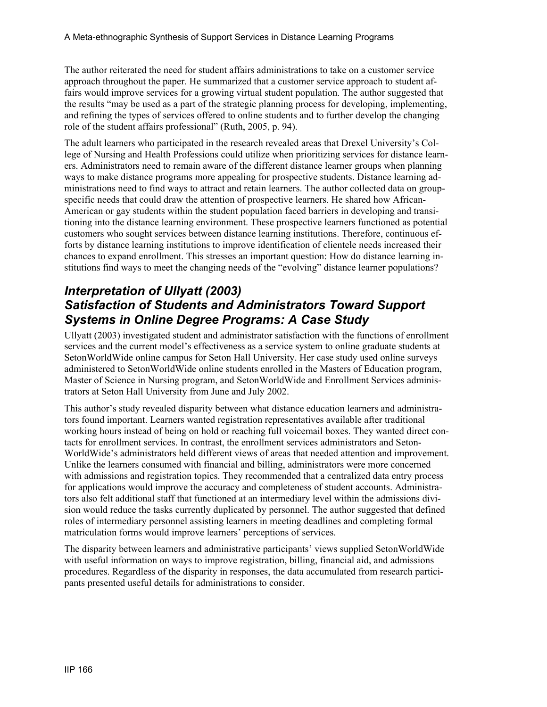The author reiterated the need for student affairs administrations to take on a customer service approach throughout the paper. He summarized that a customer service approach to student affairs would improve services for a growing virtual student population. The author suggested that the results "may be used as a part of the strategic planning process for developing, implementing, and refining the types of services offered to online students and to further develop the changing role of the student affairs professional" (Ruth, 2005, p. 94).

The adult learners who participated in the research revealed areas that Drexel University's College of Nursing and Health Professions could utilize when prioritizing services for distance learners. Administrators need to remain aware of the different distance learner groups when planning ways to make distance programs more appealing for prospective students. Distance learning administrations need to find ways to attract and retain learners. The author collected data on groupspecific needs that could draw the attention of prospective learners. He shared how African-American or gay students within the student population faced barriers in developing and transitioning into the distance learning environment. These prospective learners functioned as potential customers who sought services between distance learning institutions. Therefore, continuous efforts by distance learning institutions to improve identification of clientele needs increased their chances to expand enrollment. This stresses an important question: How do distance learning institutions find ways to meet the changing needs of the "evolving" distance learner populations?

#### *Interpretation of Ullyatt (2003) Satisfaction of Students and Administrators Toward Support Systems in Online Degree Programs: A Case Study*

Ullyatt (2003) investigated student and administrator satisfaction with the functions of enrollment services and the current model's effectiveness as a service system to online graduate students at SetonWorldWide online campus for Seton Hall University. Her case study used online surveys administered to SetonWorldWide online students enrolled in the Masters of Education program, Master of Science in Nursing program, and SetonWorldWide and Enrollment Services administrators at Seton Hall University from June and July 2002.

This author's study revealed disparity between what distance education learners and administrators found important. Learners wanted registration representatives available after traditional working hours instead of being on hold or reaching full voicemail boxes. They wanted direct contacts for enrollment services. In contrast, the enrollment services administrators and Seton-WorldWide's administrators held different views of areas that needed attention and improvement. Unlike the learners consumed with financial and billing, administrators were more concerned with admissions and registration topics. They recommended that a centralized data entry process for applications would improve the accuracy and completeness of student accounts. Administrators also felt additional staff that functioned at an intermediary level within the admissions division would reduce the tasks currently duplicated by personnel. The author suggested that defined roles of intermediary personnel assisting learners in meeting deadlines and completing formal matriculation forms would improve learners' perceptions of services.

The disparity between learners and administrative participants' views supplied SetonWorldWide with useful information on ways to improve registration, billing, financial aid, and admissions procedures. Regardless of the disparity in responses, the data accumulated from research participants presented useful details for administrations to consider.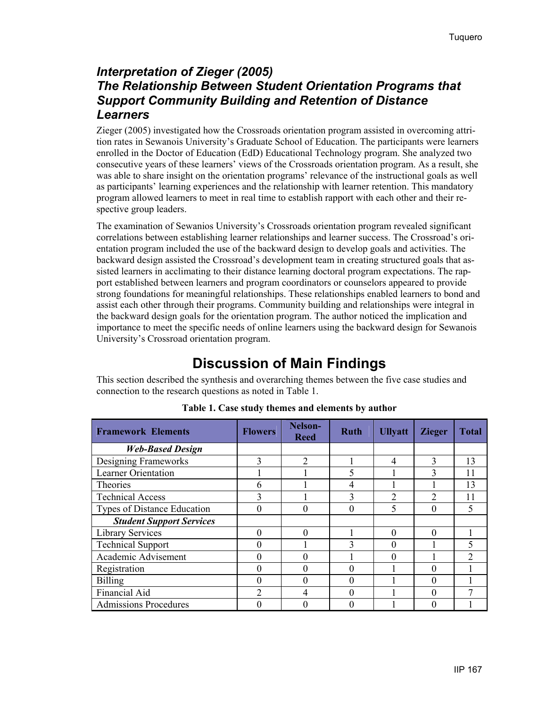#### *Interpretation of Zieger (2005) The Relationship Between Student Orientation Programs that Support Community Building and Retention of Distance Learners*

Zieger (2005) investigated how the Crossroads orientation program assisted in overcoming attrition rates in Sewanois University's Graduate School of Education. The participants were learners enrolled in the Doctor of Education (EdD) Educational Technology program. She analyzed two consecutive years of these learners' views of the Crossroads orientation program. As a result, she was able to share insight on the orientation programs' relevance of the instructional goals as well as participants' learning experiences and the relationship with learner retention. This mandatory program allowed learners to meet in real time to establish rapport with each other and their respective group leaders.

The examination of Sewanios University's Crossroads orientation program revealed significant correlations between establishing learner relationships and learner success. The Crossroad's orientation program included the use of the backward design to develop goals and activities. The backward design assisted the Crossroad's development team in creating structured goals that assisted learners in acclimating to their distance learning doctoral program expectations. The rapport established between learners and program coordinators or counselors appeared to provide strong foundations for meaningful relationships. These relationships enabled learners to bond and assist each other through their programs. Community building and relationships were integral in the backward design goals for the orientation program. The author noticed the implication and importance to meet the specific needs of online learners using the backward design for Sewanois University's Crossroad orientation program.

# **Discussion of Main Findings**

This section described the synthesis and overarching themes between the five case studies and connection to the research questions as noted in Table 1.

| <b>Framework Elements</b>       | <b>Flowers</b> | Nelson-<br><b>Reed</b> | <b>Ruth</b>  | <b>Ullyatt</b> | <b>Zieger</b> | <b>Total</b>   |
|---------------------------------|----------------|------------------------|--------------|----------------|---------------|----------------|
| <b>Web-Based Design</b>         |                |                        |              |                |               |                |
| Designing Frameworks            | 3              | $\overline{2}$         |              | 4              | 3             | 13             |
| Learner Orientation             |                |                        |              |                | 3             | 11             |
| <b>Theories</b>                 | h              |                        | 4            |                |               | 13             |
| <b>Technical Access</b>         | 3              |                        | 3            | $\mathcal{D}$  | 2             | 11             |
| Types of Distance Education     |                | 0                      |              | 5              | 0             | 5              |
| <b>Student Support Services</b> |                |                        |              |                |               |                |
| <b>Library Services</b>         |                | $\Omega$               |              | 0              | 0             |                |
| <b>Technical Support</b>        |                |                        | $\mathbf{3}$ |                |               | 5              |
| Academic Advisement             |                | 0                      |              |                |               | $\mathfrak{D}$ |
| Registration                    |                | $\theta$               |              |                | 0             |                |
| <b>Billing</b>                  |                | 0                      |              |                | 0             |                |
| Financial Aid                   | າ              | 4                      |              |                | 0             |                |
| <b>Admissions Procedures</b>    |                | $\Omega$               |              |                | 0             |                |

#### **Table 1. Case study themes and elements by author**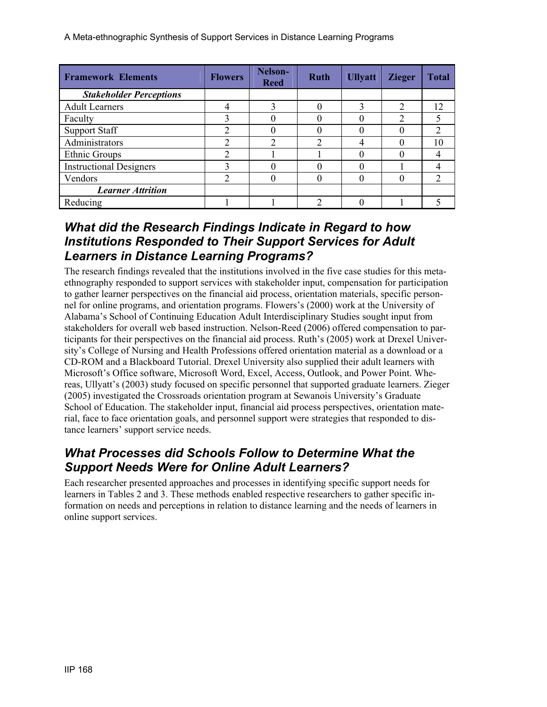A Meta-ethnographic Synthesis of Support Services in Distance Learning Programs

| <b>Framework Elements</b>      | <b>Flowers</b> | Nelson-<br><b>Reed</b> | <b>Ruth</b> | <b>Ullyatt</b> | <b>Zieger</b>  | <b>Total</b>   |
|--------------------------------|----------------|------------------------|-------------|----------------|----------------|----------------|
| <b>Stakeholder Perceptions</b> |                |                        |             |                |                |                |
| <b>Adult Learners</b>          | 4              | 3                      |             | 3              | $\overline{2}$ | 12             |
| Faculty                        | $\mathbf{3}$   | 0                      |             |                | ∍              |                |
| <b>Support Staff</b>           |                | 0                      |             |                |                | $\mathfrak{D}$ |
| Administrators                 |                | $\overline{2}$         | ↑           |                |                | 10             |
| Ethnic Groups                  |                |                        |             |                |                |                |
| <b>Instructional Designers</b> | 3              |                        |             |                |                |                |
| Vendors                        | ↑              | $\left( \right)$       |             |                |                | າ              |
| <b>Learner Attrition</b>       |                |                        |             |                |                |                |
| Reducing                       |                |                        | ↑           |                |                |                |

#### *What did the Research Findings Indicate in Regard to how Institutions Responded to Their Support Services for Adult Learners in Distance Learning Programs?*

The research findings revealed that the institutions involved in the five case studies for this metaethnography responded to support services with stakeholder input, compensation for participation to gather learner perspectives on the financial aid process, orientation materials, specific personnel for online programs, and orientation programs. Flowers's (2000) work at the University of Alabama's School of Continuing Education Adult Interdisciplinary Studies sought input from stakeholders for overall web based instruction. Nelson-Reed (2006) offered compensation to participants for their perspectives on the financial aid process. Ruth's (2005) work at Drexel University's College of Nursing and Health Professions offered orientation material as a download or a CD-ROM and a Blackboard Tutorial. Drexel University also supplied their adult learners with Microsoft's Office software, Microsoft Word, Excel, Access, Outlook, and Power Point. Whereas, Ullyatt's (2003) study focused on specific personnel that supported graduate learners. Zieger (2005) investigated the Crossroads orientation program at Sewanois University's Graduate School of Education. The stakeholder input, financial aid process perspectives, orientation material, face to face orientation goals, and personnel support were strategies that responded to distance learners' support service needs.

#### *What Processes did Schools Follow to Determine What the Support Needs Were for Online Adult Learners?*

Each researcher presented approaches and processes in identifying specific support needs for learners in Tables 2 and 3. These methods enabled respective researchers to gather specific information on needs and perceptions in relation to distance learning and the needs of learners in online support services.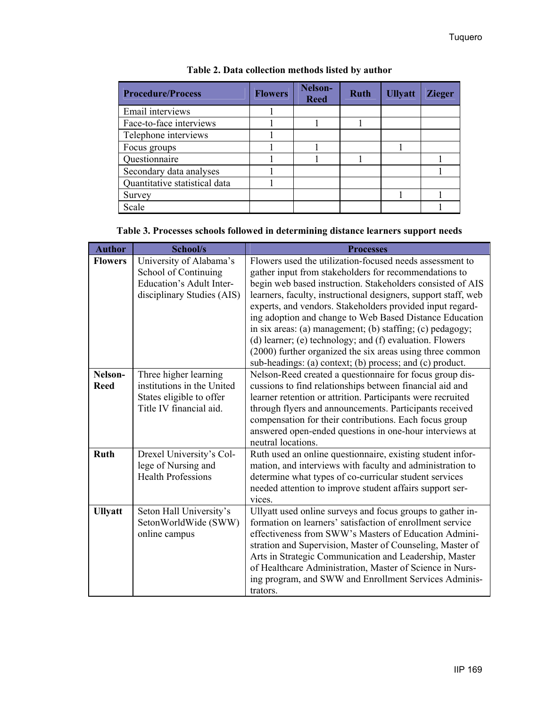| <b>Procedure/Process</b>      | <b>Flowers</b> | Nelson-<br><b>Reed</b> | <b>Ruth</b> | <b>Ullyatt</b> | <b>Zieger</b> |
|-------------------------------|----------------|------------------------|-------------|----------------|---------------|
| Email interviews              |                |                        |             |                |               |
| Face-to-face interviews       |                |                        |             |                |               |
| Telephone interviews          |                |                        |             |                |               |
| Focus groups                  |                |                        |             |                |               |
| Questionnaire                 |                |                        |             |                |               |
| Secondary data analyses       |                |                        |             |                |               |
| Quantitative statistical data |                |                        |             |                |               |
| Survey                        |                |                        |             |                |               |
| Scale                         |                |                        |             |                |               |

|  |  |  | Table 3. Processes schools followed in determining distance learners support needs |  |
|--|--|--|------------------------------------------------------------------------------------|--|
|  |  |  |                                                                                    |  |

| <b>Author</b>          | <b>School/s</b>                                                                                                  | <b>Processes</b>                                                                                                                                                                                                                                                                                                                                                                                                                                                                                                                                                                                                            |
|------------------------|------------------------------------------------------------------------------------------------------------------|-----------------------------------------------------------------------------------------------------------------------------------------------------------------------------------------------------------------------------------------------------------------------------------------------------------------------------------------------------------------------------------------------------------------------------------------------------------------------------------------------------------------------------------------------------------------------------------------------------------------------------|
| <b>Flowers</b>         | University of Alabama's<br>School of Continuing<br><b>Education's Adult Inter-</b><br>disciplinary Studies (AIS) | Flowers used the utilization-focused needs assessment to<br>gather input from stakeholders for recommendations to<br>begin web based instruction. Stakeholders consisted of AIS<br>learners, faculty, instructional designers, support staff, web<br>experts, and vendors. Stakeholders provided input regard-<br>ing adoption and change to Web Based Distance Education<br>in six areas: (a) management; (b) staffing; (c) pedagogy;<br>(d) learner; (e) technology; and (f) evaluation. Flowers<br>(2000) further organized the six areas using three common<br>sub-headings: (a) context; (b) process; and (c) product. |
| Nelson-<br><b>Reed</b> | Three higher learning<br>institutions in the United<br>States eligible to offer<br>Title IV financial aid.       | Nelson-Reed created a questionnaire for focus group dis-<br>cussions to find relationships between financial aid and<br>learner retention or attrition. Participants were recruited<br>through flyers and announcements. Participants received<br>compensation for their contributions. Each focus group<br>answered open-ended questions in one-hour interviews at<br>neutral locations.                                                                                                                                                                                                                                   |
| <b>Ruth</b>            | Drexel University's Col-<br>lege of Nursing and<br><b>Health Professions</b>                                     | Ruth used an online questionnaire, existing student infor-<br>mation, and interviews with faculty and administration to<br>determine what types of co-curricular student services<br>needed attention to improve student affairs support ser-<br>vices.                                                                                                                                                                                                                                                                                                                                                                     |
| <b>Ullyatt</b>         | Seton Hall University's<br>SetonWorldWide (SWW)<br>online campus                                                 | Ullyatt used online surveys and focus groups to gather in-<br>formation on learners' satisfaction of enrollment service<br>effectiveness from SWW's Masters of Education Admini-<br>stration and Supervision, Master of Counseling, Master of<br>Arts in Strategic Communication and Leadership, Master<br>of Healthcare Administration, Master of Science in Nurs-<br>ing program, and SWW and Enrollment Services Adminis-<br>trators.                                                                                                                                                                                    |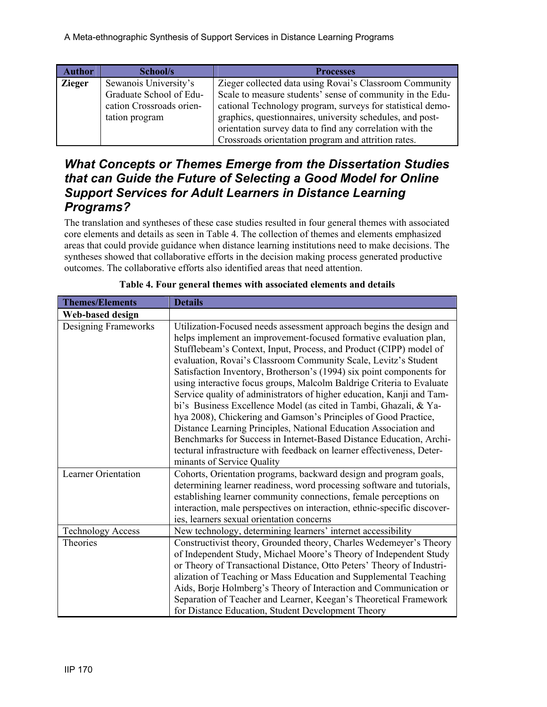| <b>Author</b> | School/s                 | <b>Processes</b>                                           |
|---------------|--------------------------|------------------------------------------------------------|
| <b>Zieger</b> | Sewanois University's    | Zieger collected data using Rovai's Classroom Community    |
|               | Graduate School of Edu-  | Scale to measure students' sense of community in the Edu-  |
|               | cation Crossroads orien- | cational Technology program, surveys for statistical demo- |
|               | tation program           | graphics, questionnaires, university schedules, and post-  |
|               |                          | orientation survey data to find any correlation with the   |
|               |                          | Crossroads orientation program and attrition rates.        |

#### *What Concepts or Themes Emerge from the Dissertation Studies that can Guide the Future of Selecting a Good Model for Online Support Services for Adult Learners in Distance Learning Programs?*

The translation and syntheses of these case studies resulted in four general themes with associated core elements and details as seen in Table 4. The collection of themes and elements emphasized areas that could provide guidance when distance learning institutions need to make decisions. The syntheses showed that collaborative efforts in the decision making process generated productive outcomes. The collaborative efforts also identified areas that need attention.

| <b>Themes/Elements</b>     | <b>Details</b>                                                                                                                                                                                                                                                                                                                                                                                                                                                                                                                                                                                                                                                                                                                                                                                                                                                                                         |
|----------------------------|--------------------------------------------------------------------------------------------------------------------------------------------------------------------------------------------------------------------------------------------------------------------------------------------------------------------------------------------------------------------------------------------------------------------------------------------------------------------------------------------------------------------------------------------------------------------------------------------------------------------------------------------------------------------------------------------------------------------------------------------------------------------------------------------------------------------------------------------------------------------------------------------------------|
| Web-based design           |                                                                                                                                                                                                                                                                                                                                                                                                                                                                                                                                                                                                                                                                                                                                                                                                                                                                                                        |
| Designing Frameworks       | Utilization-Focused needs assessment approach begins the design and<br>helps implement an improvement-focused formative evaluation plan,<br>Stufflebeam's Context, Input, Process, and Product (CIPP) model of<br>evaluation, Rovai's Classroom Community Scale, Levitz's Student<br>Satisfaction Inventory, Brotherson's (1994) six point components for<br>using interactive focus groups, Malcolm Baldrige Criteria to Evaluate<br>Service quality of administrators of higher education, Kanji and Tam-<br>bi's Business Excellence Model (as cited in Tambi, Ghazali, & Ya-<br>hya 2008), Chickering and Gamson's Principles of Good Practice,<br>Distance Learning Principles, National Education Association and<br>Benchmarks for Success in Internet-Based Distance Education, Archi-<br>tectural infrastructure with feedback on learner effectiveness, Deter-<br>minants of Service Quality |
| <b>Learner Orientation</b> | Cohorts, Orientation programs, backward design and program goals,<br>determining learner readiness, word processing software and tutorials,<br>establishing learner community connections, female perceptions on<br>interaction, male perspectives on interaction, ethnic-specific discover-<br>ies, learners sexual orientation concerns                                                                                                                                                                                                                                                                                                                                                                                                                                                                                                                                                              |
| <b>Technology Access</b>   | New technology, determining learners' internet accessibility                                                                                                                                                                                                                                                                                                                                                                                                                                                                                                                                                                                                                                                                                                                                                                                                                                           |
| Theories                   | Constructivist theory, Grounded theory, Charles Wedemeyer's Theory<br>of Independent Study, Michael Moore's Theory of Independent Study<br>or Theory of Transactional Distance, Otto Peters' Theory of Industri-<br>alization of Teaching or Mass Education and Supplemental Teaching<br>Aids, Borje Holmberg's Theory of Interaction and Communication or<br>Separation of Teacher and Learner, Keegan's Theoretical Framework<br>for Distance Education, Student Development Theory                                                                                                                                                                                                                                                                                                                                                                                                                  |

|  |  | Table 4. Four general themes with associated elements and details |  |  |
|--|--|-------------------------------------------------------------------|--|--|
|  |  |                                                                   |  |  |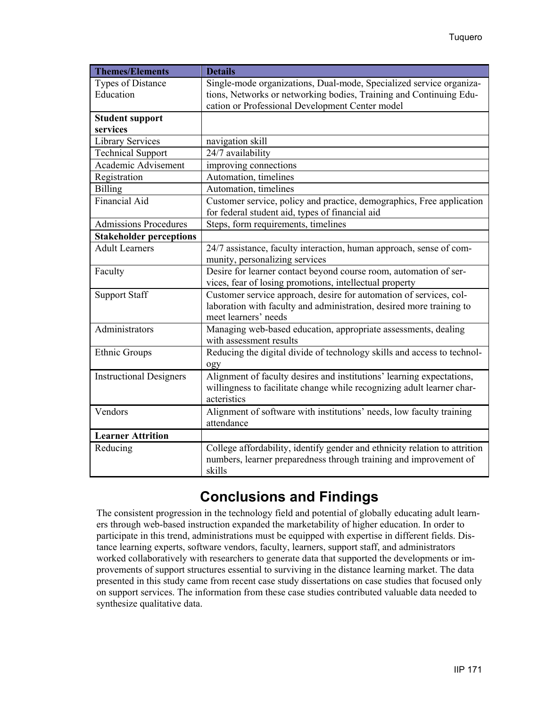| <b>Themes/Elements</b>         | <b>Details</b>                                                             |
|--------------------------------|----------------------------------------------------------------------------|
| <b>Types of Distance</b>       | Single-mode organizations, Dual-mode, Specialized service organiza-        |
| Education                      | tions, Networks or networking bodies, Training and Continuing Edu-         |
|                                | cation or Professional Development Center model                            |
| <b>Student support</b>         |                                                                            |
| services                       |                                                                            |
| <b>Library Services</b>        | navigation skill                                                           |
| <b>Technical Support</b>       | 24/7 availability                                                          |
| Academic Advisement            | improving connections                                                      |
| Registration                   | Automation, timelines                                                      |
| Billing                        | Automation, timelines                                                      |
| <b>Financial Aid</b>           | Customer service, policy and practice, demographics, Free application      |
|                                | for federal student aid, types of financial aid                            |
| <b>Admissions Procedures</b>   | Steps, form requirements, timelines                                        |
| <b>Stakeholder perceptions</b> |                                                                            |
| <b>Adult Learners</b>          | 24/7 assistance, faculty interaction, human approach, sense of com-        |
|                                | munity, personalizing services                                             |
| Faculty                        | Desire for learner contact beyond course room, automation of ser-          |
|                                | vices, fear of losing promotions, intellectual property                    |
| <b>Support Staff</b>           | Customer service approach, desire for automation of services, col-         |
|                                | laboration with faculty and administration, desired more training to       |
|                                | meet learners' needs                                                       |
| Administrators                 | Managing web-based education, appropriate assessments, dealing             |
|                                | with assessment results                                                    |
| Ethnic Groups                  | Reducing the digital divide of technology skills and access to technol-    |
|                                | ogy                                                                        |
| <b>Instructional Designers</b> | Alignment of faculty desires and institutions' learning expectations,      |
|                                | willingness to facilitate change while recognizing adult learner char-     |
|                                | acteristics                                                                |
| Vendors                        | Alignment of software with institutions' needs, low faculty training       |
|                                | attendance                                                                 |
| <b>Learner Attrition</b>       |                                                                            |
| Reducing                       | College affordability, identify gender and ethnicity relation to attrition |
|                                | numbers, learner preparedness through training and improvement of          |
|                                | skills                                                                     |

# **Conclusions and Findings**

The consistent progression in the technology field and potential of globally educating adult learners through web-based instruction expanded the marketability of higher education. In order to participate in this trend, administrations must be equipped with expertise in different fields. Distance learning experts, software vendors, faculty, learners, support staff, and administrators worked collaboratively with researchers to generate data that supported the developments or improvements of support structures essential to surviving in the distance learning market. The data presented in this study came from recent case study dissertations on case studies that focused only on support services. The information from these case studies contributed valuable data needed to synthesize qualitative data.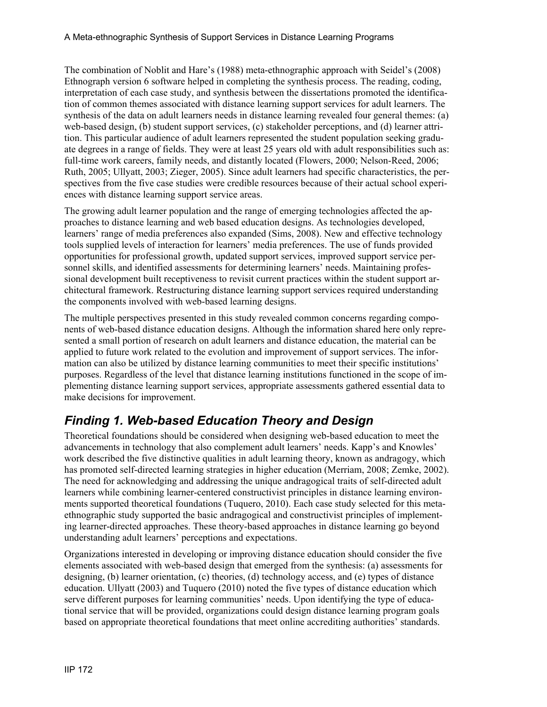The combination of Noblit and Hare's (1988) meta-ethnographic approach with Seidel's (2008) Ethnograph version 6 software helped in completing the synthesis process. The reading, coding, interpretation of each case study, and synthesis between the dissertations promoted the identification of common themes associated with distance learning support services for adult learners. The synthesis of the data on adult learners needs in distance learning revealed four general themes: (a) web-based design, (b) student support services, (c) stakeholder perceptions, and (d) learner attrition. This particular audience of adult learners represented the student population seeking graduate degrees in a range of fields. They were at least 25 years old with adult responsibilities such as: full-time work careers, family needs, and distantly located (Flowers, 2000; Nelson-Reed, 2006; Ruth, 2005; Ullyatt, 2003; Zieger, 2005). Since adult learners had specific characteristics, the perspectives from the five case studies were credible resources because of their actual school experiences with distance learning support service areas.

The growing adult learner population and the range of emerging technologies affected the approaches to distance learning and web based education designs. As technologies developed, learners' range of media preferences also expanded (Sims, 2008). New and effective technology tools supplied levels of interaction for learners' media preferences. The use of funds provided opportunities for professional growth, updated support services, improved support service personnel skills, and identified assessments for determining learners' needs. Maintaining professional development built receptiveness to revisit current practices within the student support architectural framework. Restructuring distance learning support services required understanding the components involved with web-based learning designs.

The multiple perspectives presented in this study revealed common concerns regarding components of web-based distance education designs. Although the information shared here only represented a small portion of research on adult learners and distance education, the material can be applied to future work related to the evolution and improvement of support services. The information can also be utilized by distance learning communities to meet their specific institutions' purposes. Regardless of the level that distance learning institutions functioned in the scope of implementing distance learning support services, appropriate assessments gathered essential data to make decisions for improvement.

### *Finding 1. Web-based Education Theory and Design*

Theoretical foundations should be considered when designing web-based education to meet the advancements in technology that also complement adult learners' needs. Kapp's and Knowles' work described the five distinctive qualities in adult learning theory, known as andragogy, which has promoted self-directed learning strategies in higher education (Merriam, 2008; Zemke, 2002). The need for acknowledging and addressing the unique andragogical traits of self-directed adult learners while combining learner-centered constructivist principles in distance learning environments supported theoretical foundations (Tuquero, 2010). Each case study selected for this metaethnographic study supported the basic andragogical and constructivist principles of implementing learner-directed approaches. These theory-based approaches in distance learning go beyond understanding adult learners' perceptions and expectations.

Organizations interested in developing or improving distance education should consider the five elements associated with web-based design that emerged from the synthesis: (a) assessments for designing, (b) learner orientation, (c) theories, (d) technology access, and (e) types of distance education. Ullyatt (2003) and Tuquero (2010) noted the five types of distance education which serve different purposes for learning communities' needs. Upon identifying the type of educational service that will be provided, organizations could design distance learning program goals based on appropriate theoretical foundations that meet online accrediting authorities' standards.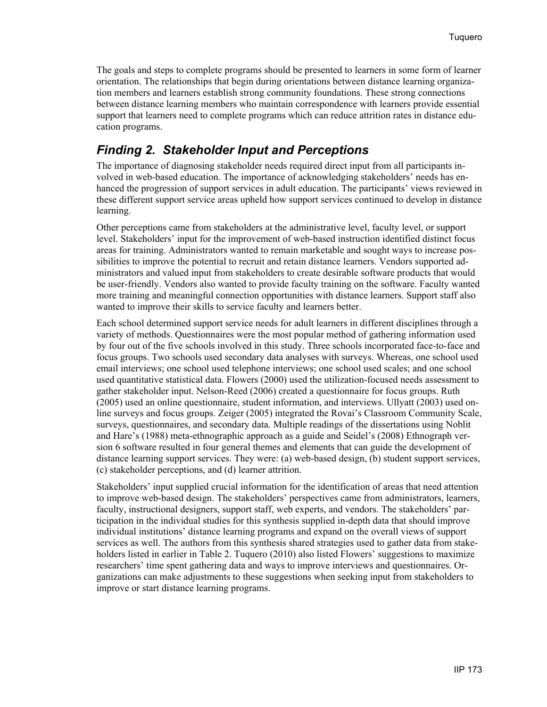The goals and steps to complete programs should be presented to learners in some form of learner orientation. The relationships that begin during orientations between distance learning organization members and learners establish strong community foundations. These strong connections between distance learning members who maintain correspondence with learners provide essential support that learners need to complete programs which can reduce attrition rates in distance education programs.

#### *Finding 2. Stakeholder Input and Perceptions*

The importance of diagnosing stakeholder needs required direct input from all participants involved in web-based education. The importance of acknowledging stakeholders' needs has enhanced the progression of support services in adult education. The participants' views reviewed in these different support service areas upheld how support services continued to develop in distance learning.

Other perceptions came from stakeholders at the administrative level, faculty level, or support level. Stakeholders' input for the improvement of web-based instruction identified distinct focus areas for training. Administrators wanted to remain marketable and sought ways to increase possibilities to improve the potential to recruit and retain distance learners. Vendors supported administrators and valued input from stakeholders to create desirable software products that would be user-friendly. Vendors also wanted to provide faculty training on the software. Faculty wanted more training and meaningful connection opportunities with distance learners. Support staff also wanted to improve their skills to service faculty and learners better.

Each school determined support service needs for adult learners in different disciplines through a variety of methods. Questionnaires were the most popular method of gathering information used by four out of the five schools involved in this study. Three schools incorporated face-to-face and focus groups. Two schools used secondary data analyses with surveys. Whereas, one school used email interviews; one school used telephone interviews; one school used scales; and one school used quantitative statistical data. Flowers (2000) used the utilization-focused needs assessment to gather stakeholder input. Nelson-Reed (2006) created a questionnaire for focus groups. Ruth (2005) used an online questionnaire, student information, and interviews. Ullyatt (2003) used online surveys and focus groups. Zeiger (2005) integrated the Rovai's Classroom Community Scale, surveys, questionnaires, and secondary data. Multiple readings of the dissertations using Noblit and Hare's (1988) meta-ethnographic approach as a guide and Seidel's (2008) Ethnograph version 6 software resulted in four general themes and elements that can guide the development of distance learning support services. They were: (a) web-based design, (b) student support services, (c) stakeholder perceptions, and (d) learner attrition.

Stakeholders' input supplied crucial information for the identification of areas that need attention to improve web-based design. The stakeholders' perspectives came from administrators, learners, faculty, instructional designers, support staff, web experts, and vendors. The stakeholders' participation in the individual studies for this synthesis supplied in-depth data that should improve individual institutions' distance learning programs and expand on the overall views of support services as well. The authors from this synthesis shared strategies used to gather data from stakeholders listed in earlier in Table 2. Tuquero (2010) also listed Flowers' suggestions to maximize researchers' time spent gathering data and ways to improve interviews and questionnaires. Organizations can make adjustments to these suggestions when seeking input from stakeholders to improve or start distance learning programs.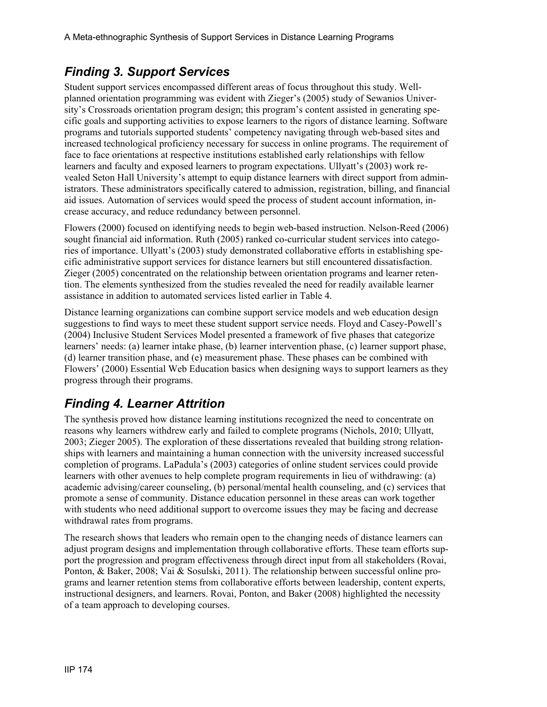### *Finding 3. Support Services*

Student support services encompassed different areas of focus throughout this study. Wellplanned orientation programming was evident with Zieger's (2005) study of Sewanios University's Crossroads orientation program design; this program's content assisted in generating specific goals and supporting activities to expose learners to the rigors of distance learning. Software programs and tutorials supported students' competency navigating through web-based sites and increased technological proficiency necessary for success in online programs. The requirement of face to face orientations at respective institutions established early relationships with fellow learners and faculty and exposed learners to program expectations. Ullyatt's (2003) work revealed Seton Hall University's attempt to equip distance learners with direct support from administrators. These administrators specifically catered to admission, registration, billing, and financial aid issues. Automation of services would speed the process of student account information, increase accuracy, and reduce redundancy between personnel.

Flowers (2000) focused on identifying needs to begin web-based instruction. Nelson-Reed (2006) sought financial aid information. Ruth (2005) ranked co-curricular student services into categories of importance. Ullyatt's (2003) study demonstrated collaborative efforts in establishing specific administrative support services for distance learners but still encountered dissatisfaction. Zieger (2005) concentrated on the relationship between orientation programs and learner retention. The elements synthesized from the studies revealed the need for readily available learner assistance in addition to automated services listed earlier in Table 4.

Distance learning organizations can combine support service models and web education design suggestions to find ways to meet these student support service needs. Floyd and Casey-Powell's (2004) Inclusive Student Services Model presented a framework of five phases that categorize learners' needs: (a) learner intake phase, (b) learner intervention phase, (c) learner support phase, (d) learner transition phase, and (e) measurement phase. These phases can be combined with Flowers' (2000) Essential Web Education basics when designing ways to support learners as they progress through their programs.

### *Finding 4. Learner Attrition*

The synthesis proved how distance learning institutions recognized the need to concentrate on reasons why learners withdrew early and failed to complete programs (Nichols, 2010; Ullyatt, 2003; Zieger 2005). The exploration of these dissertations revealed that building strong relationships with learners and maintaining a human connection with the university increased successful completion of programs. LaPadula's (2003) categories of online student services could provide learners with other avenues to help complete program requirements in lieu of withdrawing: (a) academic advising/career counseling, (b) personal/mental health counseling, and (c) services that promote a sense of community. Distance education personnel in these areas can work together with students who need additional support to overcome issues they may be facing and decrease withdrawal rates from programs.

The research shows that leaders who remain open to the changing needs of distance learners can adjust program designs and implementation through collaborative efforts. These team efforts support the progression and program effectiveness through direct input from all stakeholders (Rovai, Ponton, & Baker, 2008; Vai & Sosulski, 2011). The relationship between successful online programs and learner retention stems from collaborative efforts between leadership, content experts, instructional designers, and learners. Rovai, Ponton, and Baker (2008) highlighted the necessity of a team approach to developing courses.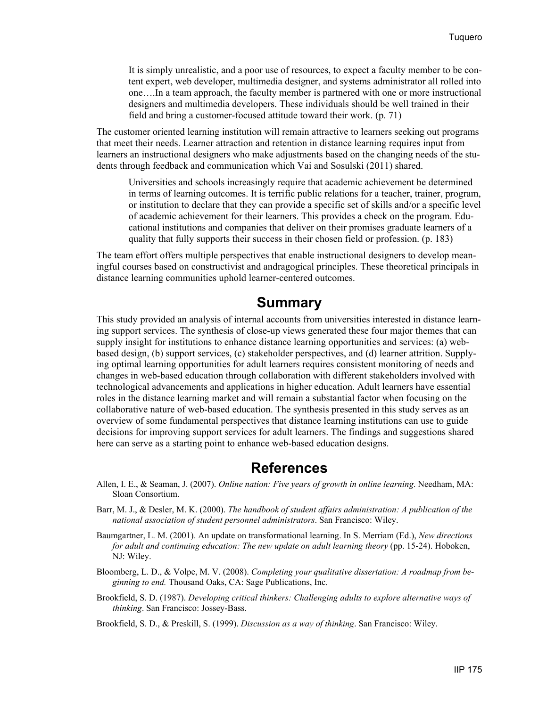It is simply unrealistic, and a poor use of resources, to expect a faculty member to be content expert, web developer, multimedia designer, and systems administrator all rolled into one….In a team approach, the faculty member is partnered with one or more instructional designers and multimedia developers. These individuals should be well trained in their field and bring a customer-focused attitude toward their work. (p. 71)

The customer oriented learning institution will remain attractive to learners seeking out programs that meet their needs. Learner attraction and retention in distance learning requires input from learners an instructional designers who make adjustments based on the changing needs of the students through feedback and communication which Vai and Sosulski (2011) shared.

Universities and schools increasingly require that academic achievement be determined in terms of learning outcomes. It is terrific public relations for a teacher, trainer, program, or institution to declare that they can provide a specific set of skills and/or a specific level of academic achievement for their learners. This provides a check on the program. Educational institutions and companies that deliver on their promises graduate learners of a quality that fully supports their success in their chosen field or profession. (p. 183)

The team effort offers multiple perspectives that enable instructional designers to develop meaningful courses based on constructivist and andragogical principles. These theoretical principals in distance learning communities uphold learner-centered outcomes.

#### **Summary**

This study provided an analysis of internal accounts from universities interested in distance learning support services. The synthesis of close-up views generated these four major themes that can supply insight for institutions to enhance distance learning opportunities and services: (a) webbased design, (b) support services, (c) stakeholder perspectives, and (d) learner attrition. Supplying optimal learning opportunities for adult learners requires consistent monitoring of needs and changes in web-based education through collaboration with different stakeholders involved with technological advancements and applications in higher education. Adult learners have essential roles in the distance learning market and will remain a substantial factor when focusing on the collaborative nature of web-based education. The synthesis presented in this study serves as an overview of some fundamental perspectives that distance learning institutions can use to guide decisions for improving support services for adult learners. The findings and suggestions shared here can serve as a starting point to enhance web-based education designs.

#### **References**

- Allen, I. E., & Seaman, J. (2007). *Online nation: Five years of growth in online learning*. Needham, MA: Sloan Consortium.
- Barr, M. J., & Desler, M. K. (2000). *The handbook of student affairs administration: A publication of the national association of student personnel administrators*. San Francisco: Wiley.
- Baumgartner, L. M. (2001). An update on transformational learning. In S. Merriam (Ed.), *New directions for adult and continuing education: The new update on adult learning theory* (pp. 15-24). Hoboken, NJ: Wiley.
- Bloomberg, L. D., & Volpe, M. V. (2008). *Completing your qualitative dissertation: A roadmap from beginning to end.* Thousand Oaks, CA: Sage Publications, Inc.
- Brookfield, S. D. (1987). *Developing critical thinkers: Challenging adults to explore alternative ways of thinking*. San Francisco: Jossey-Bass.

Brookfield, S. D., & Preskill, S. (1999). *Discussion as a way of thinking*. San Francisco: Wiley.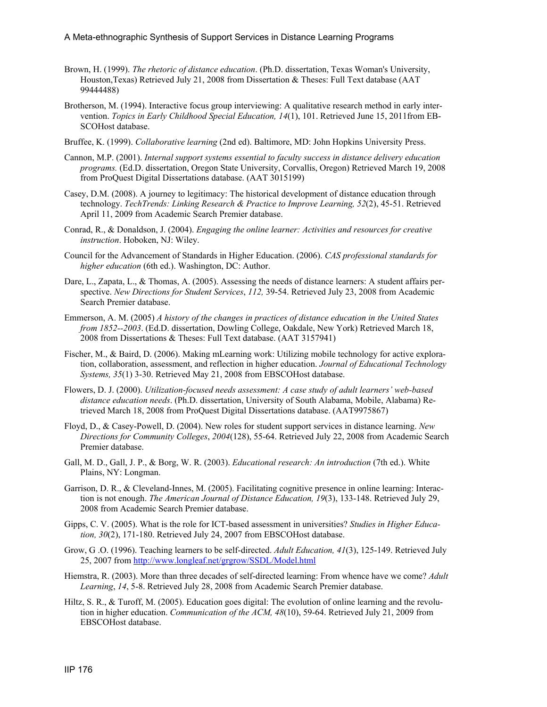- Brown, H. (1999). *The rhetoric of distance education*. (Ph.D. dissertation, Texas Woman's University, Houston,Texas) Retrieved July 21, 2008 from Dissertation & Theses: Full Text database (AAT 99444488)
- Brotherson, M. (1994). Interactive focus group interviewing: A qualitative research method in early intervention. *Topics in Early Childhood Special Education, 14*(1), 101. Retrieved June 15, 2011from EB-SCOHost database.
- Bruffee, K. (1999). *Collaborative learning* (2nd ed). Baltimore, MD: John Hopkins University Press.
- Cannon, M.P. (2001). *Internal support systems essential to faculty success in distance delivery education programs.* (Ed.D. dissertation, Oregon State University, Corvallis, Oregon) Retrieved March 19, 2008 from ProQuest Digital Dissertations database. (AAT 3015199)
- Casey, D.M. (2008). A journey to legitimacy: The historical development of distance education through technology. *TechTrends: Linking Research & Practice to Improve Learning, 52*(2), 45-51. Retrieved April 11, 2009 from Academic Search Premier database.
- Conrad, R., & Donaldson, J. (2004). *Engaging the online learner: Activities and resources for creative instruction*. Hoboken, NJ: Wiley.
- Council for the Advancement of Standards in Higher Education. (2006). *CAS professional standards for higher education* (6th ed.). Washington, DC: Author.
- Dare, L., Zapata, L., & Thomas, A. (2005). Assessing the needs of distance learners: A student affairs perspective. *New Directions for Student Services*, *112,* 39-54. Retrieved July 23, 2008 from Academic Search Premier database.
- Emmerson, A. M. (2005) *A history of the changes in practices of distance education in the United States from 1852--2003*. (Ed.D. dissertation, Dowling College, Oakdale, New York) Retrieved March 18, 2008 from Dissertations & Theses: Full Text database. (AAT 3157941)
- Fischer, M., & Baird, D. (2006). Making mLearning work: Utilizing mobile technology for active exploration, collaboration, assessment, and reflection in higher education. *Journal of Educational Technology Systems, 35*(1) 3-30. Retrieved May 21, 2008 from EBSCOHost database.
- Flowers, D. J. (2000). *Utilization-focused needs assessment: A case study of adult learners' web-based distance education needs*. (Ph.D. dissertation, University of South Alabama, Mobile, Alabama) Retrieved March 18, 2008 from ProQuest Digital Dissertations database. (AAT9975867)
- Floyd, D., & Casey-Powell, D. (2004). New roles for student support services in distance learning. *New Directions for Community Colleges*, *2004*(128), 55-64. Retrieved July 22, 2008 from Academic Search Premier database.
- Gall, M. D., Gall, J. P., & Borg, W. R. (2003). *Educational research: An introduction* (7th ed.). White Plains, NY: Longman.
- Garrison, D. R., & Cleveland-Innes, M. (2005). Facilitating cognitive presence in online learning: Interaction is not enough. *The American Journal of Distance Education, 19*(3), 133-148. Retrieved July 29, 2008 from Academic Search Premier database.
- Gipps, C. V. (2005). What is the role for ICT-based assessment in universities? *Studies in Higher Education, 30*(2), 171-180. Retrieved July 24, 2007 from EBSCOHost database.
- Grow, G .O. (1996). Teaching learners to be self-directed. *Adult Education, 41*(3), 125-149. Retrieved July 25, 2007 from<http://www.longleaf.net/grgrow/SSDL/Model.html>
- Hiemstra, R. (2003). More than three decades of self-directed learning: From whence have we come? *Adult Learning*, *14*, 5-8. Retrieved July 28, 2008 from Academic Search Premier database.
- Hiltz, S. R., & Turoff, M. (2005). Education goes digital: The evolution of online learning and the revolution in higher education. *Communication of the ACM, 48*(10), 59-64. Retrieved July 21, 2009 from EBSCOHost database.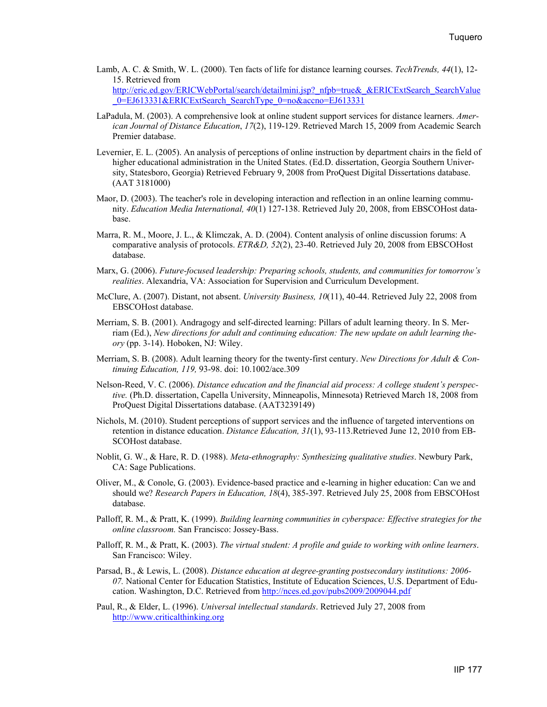- Lamb, A. C. & Smith, W. L. (2000). Ten facts of life for distance learning courses. *TechTrends, 44*(1), 12- 15. Retrieved from [http://eric.ed.gov/ERICWebPortal/search/detailmini.jsp?\\_nfpb=true&\\_&ERICExtSearch\\_SearchValue](http://eric.ed.gov/ERICWebPortal/search/detailmini.jsp?_nfpb=true&_&ERICExtSearch_SearchValue_0=EJ613331&ERICExtSearch_SearchType_0=no&accno=EJ613331) 0=EJ613331&ERICExtSearch\_SearchType\_0=no&accno=EJ613331
- LaPadula, M. (2003). A comprehensive look at online student support services for distance learners. *American Journal of Distance Education*, *17*(2), 119-129. Retrieved March 15, 2009 from Academic Search Premier database.
- Levernier, E. L. (2005). An analysis of perceptions of online instruction by department chairs in the field of higher educational administration in the United States. (Ed.D. dissertation, Georgia Southern University, Statesboro, Georgia) Retrieved February 9, 2008 from ProQuest Digital Dissertations database. (AAT 3181000)
- Maor, D. (2003). The teacher's role in developing interaction and reflection in an online learning community. *Education Media International, 40*(1) 127-138. Retrieved July 20, 2008, from EBSCOHost database.
- Marra, R. M., Moore, J. L., & Klimczak, A. D. (2004). Content analysis of online discussion forums: A comparative analysis of protocols. *ETR&D, 52*(2), 23-40. Retrieved July 20, 2008 from EBSCOHost database.
- Marx, G. (2006). *Future-focused leadership: Preparing schools, students, and communities for tomorrow's realities*. Alexandria, VA: Association for Supervision and Curriculum Development.
- McClure, A. (2007). Distant, not absent. *University Business, 10*(11), 40-44. Retrieved July 22, 2008 from EBSCOHost database.
- Merriam, S. B. (2001). Andragogy and self-directed learning: Pillars of adult learning theory. In S. Merriam (Ed.), *New directions for adult and continuing education: The new update on adult learning theory* (pp. 3-14). Hoboken, NJ: Wiley.
- Merriam, S. B. (2008). Adult learning theory for the twenty-first century. *New Directions for Adult & Continuing Education, 119,* 93-98. doi: 10.1002/ace.309
- Nelson-Reed, V. C. (2006). *Distance education and the financial aid process: A college student's perspective.* (Ph.D. dissertation, Capella University, Minneapolis, Minnesota) Retrieved March 18, 2008 from ProQuest Digital Dissertations database. (AAT3239149)
- Nichols, M. (2010). Student perceptions of support services and the influence of targeted interventions on retention in distance education. *Distance Education, 31*(1), 93-113.Retrieved June 12, 2010 from EB-SCOHost database.
- Noblit, G. W., & Hare, R. D. (1988). *Meta-ethnography: Synthesizing qualitative studies*. Newbury Park, CA: Sage Publications.
- Oliver, M., & Conole, G. (2003). Evidence-based practice and e-learning in higher education: Can we and should we? *Research Papers in Education, 18*(4), 385-397. Retrieved July 25, 2008 from EBSCOHost database.
- Palloff, R. M., & Pratt, K. (1999). *Building learning communities in cyberspace: Effective strategies for the online classroom.* San Francisco: Jossey-Bass.
- Palloff, R. M., & Pratt, K. (2003). *The virtual student: A profile and guide to working with online learners*. San Francisco: Wiley.
- Parsad, B., & Lewis, L. (2008). *Distance education at degree-granting postsecondary institutions: 2006- 07.* National Center for Education Statistics, Institute of Education Sciences, U.S. Department of Education. Washington, D.C. Retrieved from <http://nces.ed.gov/pubs2009/2009044.pdf>
- Paul, R., & Elder, L. (1996). *Universal intellectual standards*. Retrieved July 27, 2008 from [http://www.criticalthinking.org](http://www.criticalthinking.org/)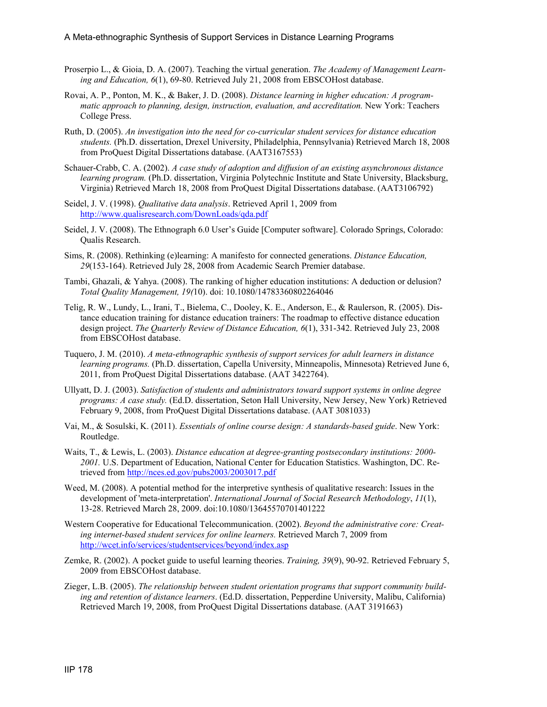- Proserpio L., & Gioia, D. A. (2007). Teaching the virtual generation. *The Academy of Management Learning and Education, 6*(1), 69-80. Retrieved July 21, 2008 from EBSCOHost database.
- Rovai, A. P., Ponton, M. K., & Baker, J. D. (2008). *Distance learning in higher education: A programmatic approach to planning, design, instruction, evaluation, and accreditation.* New York: Teachers College Press.
- Ruth, D. (2005). *An investigation into the need for co-curricular student services for distance education students.* (Ph.D. dissertation, Drexel University, Philadelphia, Pennsylvania) Retrieved March 18, 2008 from ProQuest Digital Dissertations database. (AAT3167553)
- Schauer-Crabb, C. A. (2002). *A case study of adoption and diffusion of an existing asynchronous distance learning program.* (Ph.D. dissertation, Virginia Polytechnic Institute and State University, Blacksburg, Virginia) Retrieved March 18, 2008 from ProQuest Digital Dissertations database. (AAT3106792)
- Seidel, J. V. (1998). *Qualitative data analysis*. Retrieved April 1, 2009 from <http://www.qualisresearch.com/DownLoads/qda.pdf>
- Seidel, J. V. (2008). The Ethnograph 6.0 User's Guide [Computer software]. Colorado Springs, Colorado: Qualis Research.
- Sims, R. (2008). Rethinking (e)learning: A manifesto for connected generations. *Distance Education, 29*(153-164). Retrieved July 28, 2008 from Academic Search Premier database.
- Tambi, Ghazali, & Yahya. (2008). The ranking of higher education institutions: A deduction or delusion? *Total Quality Management, 19(*10). doi: 10.1080/14783360802264046
- Telig, R. W., Lundy, L., Irani, T., Bielema, C., Dooley, K. E., Anderson, E., & Raulerson, R. (2005). Distance education training for distance education trainers: The roadmap to effective distance education design project. *The Quarterly Review of Distance Education, 6*(1), 331-342. Retrieved July 23, 2008 from EBSCOHost database.
- Tuquero, J. M. (2010). *A meta-ethnographic synthesis of support services for adult learners in distance learning programs.* (Ph.D. dissertation, Capella University, Minneapolis, Minnesota) Retrieved June 6, 2011, from ProQuest Digital Dissertations database. (AAT 3422764).
- Ullyatt, D. J. (2003). *Satisfaction of students and administrators toward support systems in online degree programs: A case study.* (Ed.D. dissertation, Seton Hall University, New Jersey, New York) Retrieved February 9, 2008, from ProQuest Digital Dissertations database. (AAT 3081033)
- Vai, M., & Sosulski, K. (2011). *Essentials of online course design: A standards-based guide*. New York: Routledge.
- Waits, T., & Lewis, L. (2003). *Distance education at degree-granting postsecondary institutions: 2000- 2001.* U.S. Department of Education, National Center for Education Statistics. Washington, DC. Retrieved from <http://nces.ed.gov/pubs2003/2003017.pdf>
- Weed, M. (2008). A potential method for the interpretive synthesis of qualitative research: Issues in the development of 'meta-interpretation'. *International Journal of Social Research Methodology*, *11*(1), 13-28. Retrieved March 28, 2009. doi:10.1080/13645570701401222
- Western Cooperative for Educational Telecommunication. (2002). *Beyond the administrative core: Creating internet-based student services for online learners.* Retrieved March 7, 2009 from <http://wcet.info/services/studentservices/beyond/index.asp>
- Zemke, R. (2002). A pocket guide to useful learning theories. *Training, 39*(9), 90-92. Retrieved February 5, 2009 from EBSCOHost database.
- Zieger, L.B. (2005). *The relationship between student orientation programs that support community building and retention of distance learners*. (Ed.D. dissertation, Pepperdine University, Malibu, California) Retrieved March 19, 2008, from ProQuest Digital Dissertations database. (AAT 3191663)